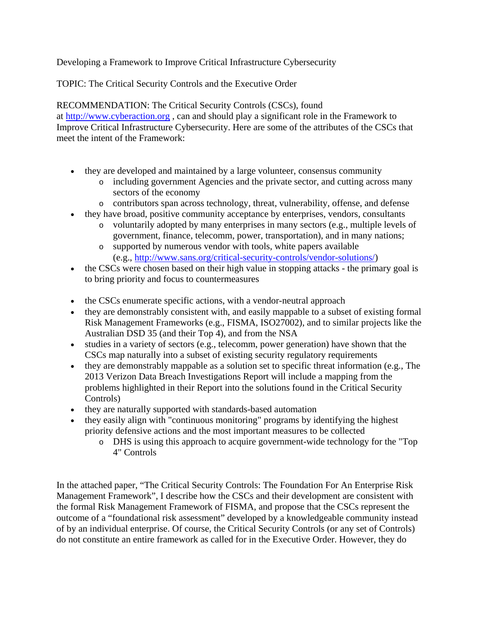Developing a Framework to Improve Critical Infrastructure Cybersecurity

TOPIC: The Critical Security Controls and the Executive Order

RECOMMENDATION: The Critical Security Controls (CSCs), found at [http://www.cyberaction.org](http://www.cyberaction.org/) , can and should play a significant role in the Framework to Improve Critical Infrastructure Cybersecurity. Here are some of the attributes of the CSCs that meet the intent of the Framework:

- they are developed and maintained by a large volunteer, consensus community
	- o including government Agencies and the private sector, and cutting across many sectors of the economy
	- o contributors span across technology, threat, vulnerability, offense, and defense
- they have broad, positive community acceptance by enterprises, vendors, consultants
	- o voluntarily adopted by many enterprises in many sectors (e.g., multiple levels of government, finance, telecomm, power, transportation), and in many nations;
	- o supported by numerous vendor with tools, white papers available (e.g., [http://www.sans.org/critical-security-controls/vendor-solutions/\)](http://www.sans.org/critical-security-controls/vendor-solutions/)
- the CSCs were chosen based on their high value in stopping attacks the primary goal is to bring priority and focus to countermeasures
- the CSCs enumerate specific actions, with a vendor-neutral approach
- they are demonstrably consistent with, and easily mappable to a subset of existing formal Risk Management Frameworks (e.g., FISMA, ISO27002), and to similar projects like the Australian DSD 35 (and their Top 4), and from the NSA
- studies in a variety of sectors (e.g., telecomm, power generation) have shown that the CSCs map naturally into a subset of existing security regulatory requirements
- they are demonstrably mappable as a solution set to specific threat information (e.g., The 2013 Verizon Data Breach Investigations Report will include a mapping from the problems highlighted in their Report into the solutions found in the Critical Security Controls)
- they are naturally supported with standards-based automation
- they easily align with "continuous monitoring" programs by identifying the highest priority defensive actions and the most important measures to be collected
	- o DHS is using this approach to acquire government-wide technology for the "Top 4" Controls

In the attached paper, "The Critical Security Controls: The Foundation For An Enterprise Risk Management Framework", I describe how the CSCs and their development are consistent with the formal Risk Management Framework of FISMA, and propose that the CSCs represent the outcome of a "foundational risk assessment" developed by a knowledgeable community instead of by an individual enterprise. Of course, the Critical Security Controls (or any set of Controls) do not constitute an entire framework as called for in the Executive Order. However, they do